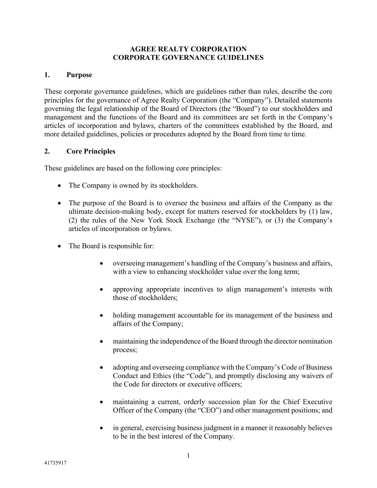#### **AGREE REALTY CORPORATION CORPORATE GOVERNANCE GUIDELINES**

#### **1. Purpose**

These corporate governance guidelines, which are guidelines rather than rules, describe the core principles for the governance of Agree Realty Corporation (the "Company"). Detailed statements governing the legal relationship of the Board of Directors (the "Board") to our stockholders and management and the functions of the Board and its committees are set forth in the Company's articles of incorporation and bylaws, charters of the committees established by the Board, and more detailed guidelines, policies or procedures adopted by the Board from time to time.

#### **2. Core Principles**

These guidelines are based on the following core principles:

- The Company is owned by its stockholders.
- The purpose of the Board is to oversee the business and affairs of the Company as the ultimate decision-making body, except for matters reserved for stockholders by (1) law, (2) the rules of the New York Stock Exchange (the "NYSE"), or (3) the Company's articles of incorporation or bylaws.
- The Board is responsible for:
	- overseeing management's handling of the Company's business and affairs, with a view to enhancing stockholder value over the long term;
	- approving appropriate incentives to align management's interests with those of stockholders;
	- holding management accountable for its management of the business and affairs of the Company;
	- maintaining the independence of the Board through the director nomination process;
	- adopting and overseeing compliance with the Company's Code of Business Conduct and Ethics (the "Code"), and promptly disclosing any waivers of the Code for directors or executive officers;
	- maintaining a current, orderly succession plan for the Chief Executive Officer of the Company (the "CEO") and other management positions; and
	- in general, exercising business judgment in a manner it reasonably believes to be in the best interest of the Company.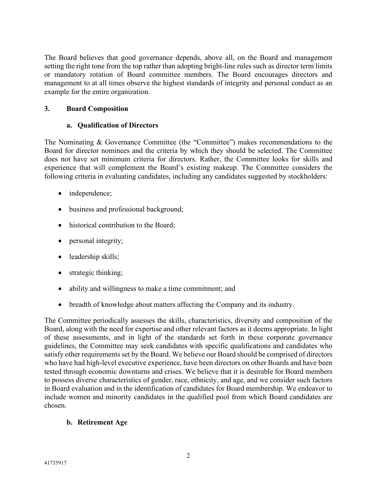The Board believes that good governance depends, above all, on the Board and management setting the right tone from the top rather than adopting bright-line rules such as director term limits or mandatory rotation of Board committee members. The Board encourages directors and management to at all times observe the highest standards of integrity and personal conduct as an example for the entire organization.

## **3. Board Composition**

## **a. Qualification of Directors**

The Nominating & Governance Committee (the "Committee") makes recommendations to the Board for director nominees and the criteria by which they should be selected. The Committee does not have set minimum criteria for directors. Rather, the Committee looks for skills and experience that will complement the Board's existing makeup. The Committee considers the following criteria in evaluating candidates, including any candidates suggested by stockholders:

- independence;
- business and professional background;
- historical contribution to the Board;
- personal integrity;
- leadership skills;
- strategic thinking;
- ability and willingness to make a time commitment; and
- breadth of knowledge about matters affecting the Company and its industry.

The Committee periodically assesses the skills, characteristics, diversity and composition of the Board, along with the need for expertise and other relevant factors as it deems appropriate. In light of these assessments, and in light of the standards set forth in these corporate governance guidelines, the Committee may seek candidates with specific qualifications and candidates who satisfy other requirements set by the Board. We believe our Board should be comprised of directors who have had high-level executive experience, have been directors on other Boards and have been tested through economic downturns and crises. We believe that it is desirable for Board members to possess diverse characteristics of gender, race, ethnicity, and age, and we consider such factors in Board evaluation and in the identification of candidates for Board membership. We endeavor to include women and minority candidates in the qualified pool from which Board candidates are chosen.

# **b. Retirement Age**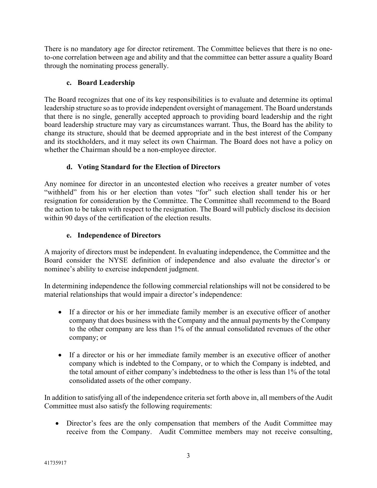There is no mandatory age for director retirement. The Committee believes that there is no oneto-one correlation between age and ability and that the committee can better assure a quality Board through the nominating process generally.

## **c. Board Leadership**

The Board recognizes that one of its key responsibilities is to evaluate and determine its optimal leadership structure so as to provide independent oversight of management. The Board understands that there is no single, generally accepted approach to providing board leadership and the right board leadership structure may vary as circumstances warrant. Thus, the Board has the ability to change its structure, should that be deemed appropriate and in the best interest of the Company and its stockholders, and it may select its own Chairman. The Board does not have a policy on whether the Chairman should be a non-employee director.

# **d. Voting Standard for the Election of Directors**

Any nominee for director in an uncontested election who receives a greater number of votes "withheld" from his or her election than votes "for" such election shall tender his or her resignation for consideration by the Committee. The Committee shall recommend to the Board the action to be taken with respect to the resignation. The Board will publicly disclose its decision within 90 days of the certification of the election results.

# **e. Independence of Directors**

A majority of directors must be independent. In evaluating independence, the Committee and the Board consider the NYSE definition of independence and also evaluate the director's or nominee's ability to exercise independent judgment.

In determining independence the following commercial relationships will not be considered to be material relationships that would impair a director's independence:

- If a director or his or her immediate family member is an executive officer of another company that does business with the Company and the annual payments by the Company to the other company are less than 1% of the annual consolidated revenues of the other company; or
- If a director or his or her immediate family member is an executive officer of another company which is indebted to the Company, or to which the Company is indebted, and the total amount of either company's indebtedness to the other is less than 1% of the total consolidated assets of the other company.

In addition to satisfying all of the independence criteria set forth above in, all members of the Audit Committee must also satisfy the following requirements:

• Director's fees are the only compensation that members of the Audit Committee may receive from the Company. Audit Committee members may not receive consulting,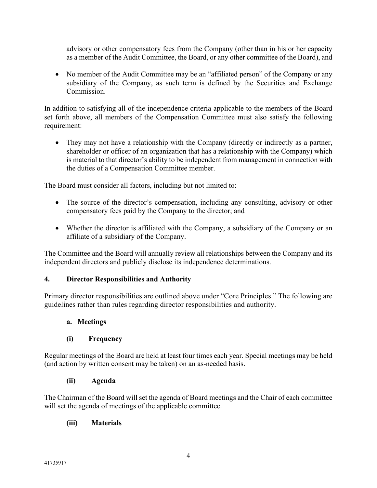advisory or other compensatory fees from the Company (other than in his or her capacity as a member of the Audit Committee, the Board, or any other committee of the Board), and

• No member of the Audit Committee may be an "affiliated person" of the Company or any subsidiary of the Company, as such term is defined by the Securities and Exchange Commission.

In addition to satisfying all of the independence criteria applicable to the members of the Board set forth above, all members of the Compensation Committee must also satisfy the following requirement:

• They may not have a relationship with the Company (directly or indirectly as a partner, shareholder or officer of an organization that has a relationship with the Company) which is material to that director's ability to be independent from management in connection with the duties of a Compensation Committee member.

The Board must consider all factors, including but not limited to:

- The source of the director's compensation, including any consulting, advisory or other compensatory fees paid by the Company to the director; and
- Whether the director is affiliated with the Company, a subsidiary of the Company or an affiliate of a subsidiary of the Company.

The Committee and the Board will annually review all relationships between the Company and its independent directors and publicly disclose its independence determinations.

### **4. Director Responsibilities and Authority**

Primary director responsibilities are outlined above under "Core Principles." The following are guidelines rather than rules regarding director responsibilities and authority.

### **a. Meetings**

### **(i) Frequency**

Regular meetings of the Board are held at least four times each year. Special meetings may be held (and action by written consent may be taken) on an as-needed basis.

### **(ii) Agenda**

The Chairman of the Board will set the agenda of Board meetings and the Chair of each committee will set the agenda of meetings of the applicable committee.

### **(iii) Materials**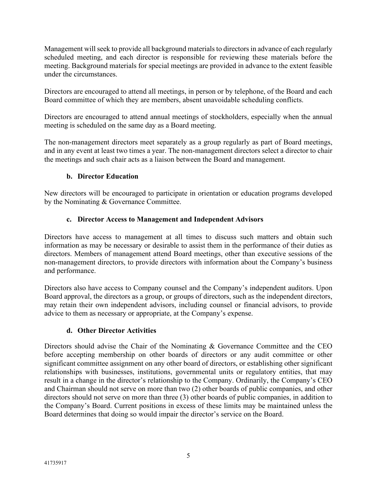Management will seek to provide all background materials to directors in advance of each regularly scheduled meeting, and each director is responsible for reviewing these materials before the meeting. Background materials for special meetings are provided in advance to the extent feasible under the circumstances.

Directors are encouraged to attend all meetings, in person or by telephone, of the Board and each Board committee of which they are members, absent unavoidable scheduling conflicts.

Directors are encouraged to attend annual meetings of stockholders, especially when the annual meeting is scheduled on the same day as a Board meeting.

The non-management directors meet separately as a group regularly as part of Board meetings, and in any event at least two times a year. The non-management directors select a director to chair the meetings and such chair acts as a liaison between the Board and management.

## **b. Director Education**

New directors will be encouraged to participate in orientation or education programs developed by the Nominating & Governance Committee.

### **c. Director Access to Management and Independent Advisors**

Directors have access to management at all times to discuss such matters and obtain such information as may be necessary or desirable to assist them in the performance of their duties as directors. Members of management attend Board meetings, other than executive sessions of the non-management directors, to provide directors with information about the Company's business and performance.

Directors also have access to Company counsel and the Company's independent auditors. Upon Board approval, the directors as a group, or groups of directors, such as the independent directors, may retain their own independent advisors, including counsel or financial advisors, to provide advice to them as necessary or appropriate, at the Company's expense.

### **d. Other Director Activities**

Directors should advise the Chair of the Nominating & Governance Committee and the CEO before accepting membership on other boards of directors or any audit committee or other significant committee assignment on any other board of directors, or establishing other significant relationships with businesses, institutions, governmental units or regulatory entities, that may result in a change in the director's relationship to the Company. Ordinarily, the Company's CEO and Chairman should not serve on more than two (2) other boards of public companies, and other directors should not serve on more than three (3) other boards of public companies, in addition to the Company's Board. Current positions in excess of these limits may be maintained unless the Board determines that doing so would impair the director's service on the Board.